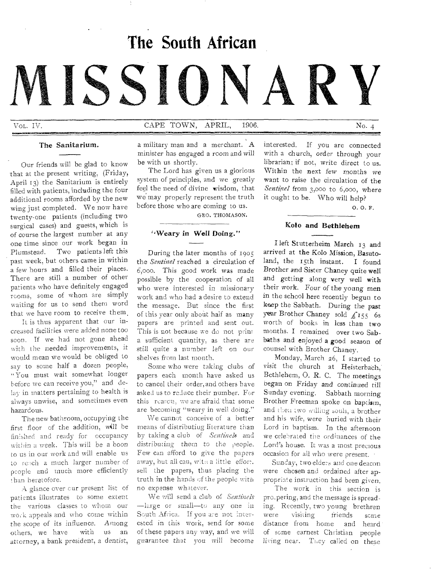# **The South African**

# **NINSION**

# Vol. IV. No. 4 CAPE TOWN, APRIL, 1906. No. 4

#### The Sanitarium.

Our friends will be glad to know that at the present writing, (Friday, April 13) the Sanitarium is entirely filled with patients, including the four additional rooms afforded by the new wing just completed. We now have twenty-one patients (including two surgical cases) and guests, which is of course the largest number at any one time since our work began in Plumstead. Two patients left this past week, but others came in within a few hours and filled their places. There are still a number of other patients who have definitely engaged rooms, some of whom are simply waiting for us to send them word that we have room to receive them.

It is thus apparent that our increased facilities were added none too soon. If we had not gone ahead with the needed improvements, it would mean we would be obliged to say to some half a dozen people, "You must wait somewhat longer before we can receive you," and delay in matters pertaining to health is always unwise, and sometimes even hazardous.

The new bathroom, occupying the first floor of the addition, will be finished and ready for occupancy within a week. This will be a boon to us in our work and will enable us to reach a much larger number of people and much more efficiently than heretofore.

A glance over cur present list of patients illustrates to some extent the various classes to whom our work appeals and who come within the scope of its influence. Among others, we have with us an attorney, a bank president, a dentist,

a military man and a merchant. A minister has engaged a room and will be with us shortly.

The Lord has given us a glorious system of principles, and we greatly feel the need of divine wisdom, that we may properly represent the truth before those who are coming to us.

GEO. THOMASON.

### `,Weary in Well Doing."

During the later months of 1905 the *Sentinel* reached a circulation of 6,000. This good work was made possible by the cooperation of all who were interested in missionary work and who had a desire to extend the message. But since the first of this year only about half as many papers are printed and sent out. This is not because we do not print a sufficient quantity, as there are still quite a number left on our shelves from last month.

Some who were taking clubs of papers each month have asked us to cancel their order,and others have asked us to reduce their number. For this reason, we are afraid that some are becoming "weary in well doing,"

We cannot conceive of a better means of distributing literature than by taking a club of *Sentinels* and distributing them to the people. Few can afford to give the papers away, but all can, wit:: a little effort. sell the papers, thus placing the truth in the hands of the people with no expense whatever.

We will send a club of *Sentinels*  —large or small—to any one in South Africa. If you are not interested in this work, send for some of these papers any way, and we will guarantee that you will become

interested. If you are connected with a church, order through your librarian; if not, write direct to us. Within the next few months we want to raise the circulation of the *Sentinel* from 3,000 to 6,000, where it ought to be. Who will help?

o. o. F.

#### Kolo and Bethlehem

I left Stutterheim March 13 and arrived at the Kolo Mission, Basutoland, the 15th instant. I found Brother and Sister Chaney quite well and getting along very well with their work. Four of the young men in the school here recently begun to keep the Sabbath. During the past year Brother Chaney sold  $f_{155}$  6s worth of books in less than two months. I remained over two Sabbaths and enjoyed a good season of counsel with Brother Chaney.

Monday, March 26, I started to *visit* the church at Heisterhaeh,' Bethlehem, 0. R. C. The meetings began on Friday and continued till Sunday evening. Sabbath morning Brother Freeman spoke on bap and then iwo willing souls, a brother and his wife, were buried with their Lord in baptism. In the afternoon we celebrated the ordinances of the Lord's house. It was a most precious occasion for all who were present.

Sunday, two elders and one deacon were chosen and ordained after appropriate instruction had been *given.* 

The work in this section is pro\_pering, and the message is spreading. Recently, two young brethren were visiting friends some<br>distance from home and heard distance from home of some earnest Christian people living near. They called on these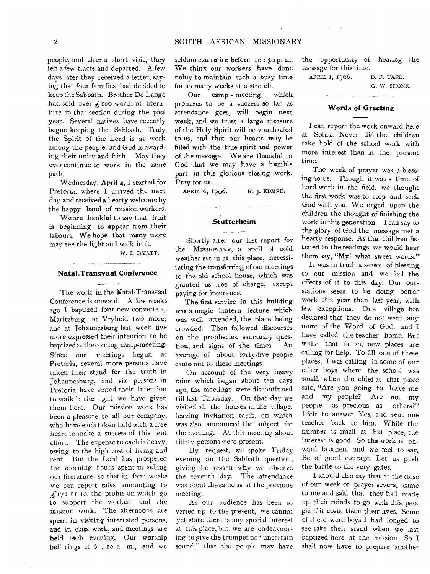people, and after a short visit, they left a few tracts and departed. A few days later they received a letter, saying that four families had decided to keep the Sabbath. Brother De Lange had sold over  $f$ 100 worth of literature in that section during the past year. Several natives have recently begun keeping the Sabbath. Truly the Spirit of the Lord is at work among the people, and God is awarding their unity and faith. May they ever continue to work in the same path.

Wednesday, April 4, I started for Pretoria, where I arrived the next day and received a hearty welcome by the happy band of mission workers.

We are thankful to say that fruit is beginning to appear from their labours. We hope that many more may see the light and walk in it.

W. S. HYATT.

## **Natal-Transvaal Conference**

The work in the Natal-Transvaal Conference is onward. A few weeks ago I baptized four new converts at Maritzburg; at Vryheid two more; and at Johannesburg last week five more expressed their intention to be baptized at the coming camp-meeting. Since our meetings begun at Pretoria, several more persons have taken their stand for the truth in Johannesburg, and six persons in Pretoria have stated their intention to walk in the light we have given them here. Our mission work has been a pleasure to all our company, who have each taken hold with a free heart to make a success of this tent effort. The expense to each is heavy, owing to the high cost of living and rent. But the Lord has prospered the morning hours spent in selling our literature, so that in four weeks we can report sales amounting to  $f_1$ 172 II 10, the profits on which go to support the workers and the mission work. The afternoons are spent in visiting interested persons, and in class work, and meetings are held each evening. Our worship bell rings at  $6:20$  a. m., and we

seldom can retire before 10 : 30 p.m. We think our workers have done nobly to maintain such a busy time for so many weeks at a stretch.

Our camp - meeting, which promises to be a success so far as attendance goes, will begin next week, and we trust a large measure of the Holy Spirit will be vouchsafed to us, and that our hearts may be filled with the true spirit and power of the message. We are thankful to God that we may have a humble part in this glorious closing work. Pray for us.

APRIL 6, 1906. H. J. EDMED.

#### **Stutterheim**

Shortly after our last report for the MISSIONARY, a spell of cold weather set in at this place, necessitating the transferring of our meetings to the old school house, which was granted us free of charge, except paying for insurance.

The first service in this building was a magic lantern lecture which was well attended, the place being crowded. Then followed discourses on the prophecies, sanctuary question, and signs of the times. An average of about forty-five people came out to these meetings.

On account of the very heavy rains which began about ten days ago, the meetings were discontinued till last Thursday. On that day we visited all the houses in the village, leaving invitation cards, on which was also announced the subject for the evening. At this meeting about thirty persons were present.

By request, we spoke Friday evening on the Sabbath question, giving the reason why we observe the seventh day. The attendance was about the same as at the previous meeting.

As our audience has been so varied up to the present, we cannot yet state there is any special interest at this place, but we are endeavouring to give the trumpet no "uncertain sound," that the people may have the opportunity of hearing the message for this time.

APRIL I, 1906. D. F. TARR. G. W. SHONE.

#### **Words of Greeting**

I can report the work onward here at Solusi. Never did the children take hold of the school work with more interest than at the present time.

The week of prayer was a blessing to us. Though it was a time of hard work in the field, we thought the first work was to stop and seek God with you. We urged upon the children the thought of finishing the work in this generation. I can say to the glory of God the message met a hearty response. As the children listened to the readings, we would hear them say, " $My!$ " what sweet words."

It was in truth a season of blessing to our mission and we feel the effects of it to this day. Our outstations seem to be doing better work this year than last year, with few exceptions. One village has. declared that they do not want any more of the Word of God, and I have called the teacher home. But while that is so, new places are calling for help. To fill one of these places, I was calling in some of our other boys where the school was small, when the chief at that place said, "Are you going to leave me and my people? Are not my people as precious as others?" I felt to answer Yes, and sent one teacher back to him. While the number is small at that place, the interest is good. So the work is onward brethen, and we feel to say, Be of good courage. Let us push the battle to the very gates.

I should also say that at the close of our week of prayer several came to me and said that they had made up their minds to go with this people if it costs them their lives. Some of these were boys I had longed to see take their stand when we last baptized here at the mission. So I shall now have to prepare another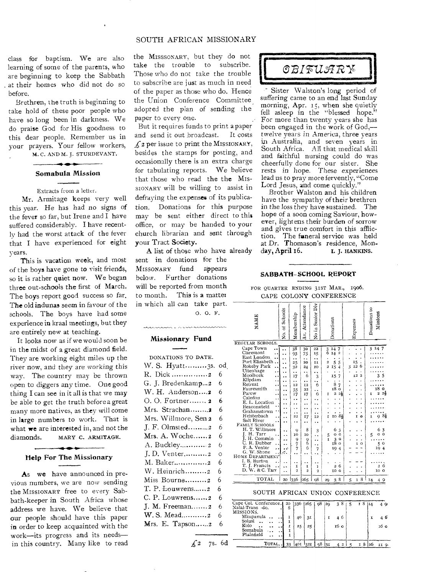#### SOUTH AFRICAN MISSIONARY

class for baptism. We are also learning of some of the parents, who are beginning to keep the Sabbath at their homes who did not do so before.

Brethren, the truth is beginning to take hold of these poor people who have so long been in darkness. We do praise God for His goodness to this dear people. Remember us in your prayers. Your fellow workers, M. C. AND M. J. STURDEVANT.

Somabula Mission

Extracts from a letter.

Mr. Armitage keeps very well this year. He has had no signs of the fever so far, but Irene and I have suffered considerably. I have recently had the worst attack of the fever that I have experienced for eight years.

This is vacation week, and most of the boys have gone to visit friends, so it is rather quiet now. We began three out-schools the first of March. The boys report good success so far. The old indunas seem in favour of the schools. The boys have had some experience in kraal meetings, but they are entirely new at teaching.

It looks now as if we would soon be in the midst of a great diamond field. They are working eight miles up the river now, and they are working this way. The country may be thrown open to diggers any time. One good thing I can see in it all is that we may be able to get the truth before a great many more natives, as they will come in large numbers to work. That is what we are interested in, and not the diamonds. MARY C. ARMITAGE.

#### Help For The Missionary

As we have announced in previous numbers, we are now sending the MISSIONARY free to every Sabbath-keeper in South Africa whose address we have. We believe that our people should have this paper in order to keep acquainted with the work—its progress and its needs in this country. Many like to read the MIsssoNARY, but they do not take the trouble to subscribe. Those who do not take the trouble to subscribe are just as much in need of the paper as those who do. Hence the Union Conference Committee adopted the plan of sending the paper to every one.

But it requires funds to print a paper and send it out broadcast. It costs  $f_2$  per issue to print the MISSIONARY, besides the stamps for posting, and occasionally there is an extra charge for tabulating reports. We believe that those who read the the Mis-SIONARY will be willing to assist in defraying the expenses of its publication. Donations for this purpose may be sent either direct to this office, or may be handed to your church librarian and sent through your Tract Society.

A list of those who have already sent in donations for the

MISSONARY fund appears below. Further donations will be reported from month to month. This is a matter in which all can take part.

0. O. F.

#### Missionary Fund

manaza e sconad

| DONATIONS TO DATE.       |          |
|--------------------------|----------|
| W. S. Hyatt3s.           | od       |
| R. Dick 2                | 6        |
| G. J. Bredenkamp2        | 6        |
| W. H. Anderson2          | 6        |
| O. O. Fortner 2          | 6        |
| Mrs. Strachan2           | 6        |
| Mrs. Willmore, Sen 2     | 6        |
| J. F. Olmsted2           | 6        |
| Mrs. A. Woche2           | 6        |
| A. Buckley 2             | 6        |
| J.D. Venter2             | $\Omega$ |
| M. Baker2                | 6        |
| W. Heinrich2             | 6        |
| Miss Bourne2             | 6        |
| $T. P.$ Louwrens2        | 6        |
| $C. P.$ Louwrens2        | 6        |
| J. M. Freeman $\ldots$ . | 6        |
| W. S. Mead2              | 6        |
| Mrs. E. Tapson2          | 6        |
|                          |          |



Sister 'W alston's long period of suffering came to an end last Sunday morning, Apr.  $15$ , when she quietly fell asleep in the "blessed hope." For more than twenty years she has been engaged in the work of God, twelve *years in* America, three years in Australia, and seven years in South Africa. All that medical skill and faithful nursing could do was cheerfully done for our sister. She rests in hope. These experiences lead us to pray more fervently, "Come Lord Jesus, and come quickly."

Brother Walston and his children have the sympathy of their brethren in the loss they have sustained. The hope of a soon coming Saviour, however, lightens their burden of sorrow and gives true comfort in this affliction. The funeral service was held at Dr. Thomason's residence, Mon-<br>day, April 16. 1. HANKINS. day, April 16.

#### **SABBATH-SCHOOL REPORT**

#### FOR OUARTER ENDING 31ST MAR., 1906. CAPE COLONY CONFERENCE

| NAME                                        | No. of Schools  | Membership              | Attendance<br>Av.    | Senior Div<br>No in  | Donations                             | Expenses           | Donations to<br>Missions                       |  |  |
|---------------------------------------------|-----------------|-------------------------|----------------------|----------------------|---------------------------------------|--------------------|------------------------------------------------|--|--|
| REGULAR SCHOOLS.                            |                 |                         |                      |                      |                                       |                    |                                                |  |  |
| Cape Town                                   |                 | 38                      | 30                   | 22                   | 14<br>7                               |                    | $\mathbf{3}$<br>14<br>-7                       |  |  |
| Claremont                                   |                 | 93                      | 75                   | 15                   | $\frac{3}{6}$<br>14<br>$\overline{a}$ |                    |                                                |  |  |
| East London                                 |                 |                         |                      |                      |                                       |                    |                                                |  |  |
| Port Elizabeth                              |                 |                         | ٠.<br>$20 \,$        | ٠.<br>H              | 5<br>2                                |                    |                                                |  |  |
| Rokeby Park                                 |                 | 25                      |                      |                      | 5<br>$\overline{a}$                   | 15<br>12<br>6<br>3 |                                                |  |  |
| Uitenhage                                   |                 | 32                      | 24                   | 10                   | 15<br>4                               |                    |                                                |  |  |
| Mooihoek                                    |                 | ٠.                      | $\ddot{\phantom{1}}$ | ۰,                   |                                       | $\overline{a}$     |                                                |  |  |
|                                             |                 | 17                      | 6                    | 3                    | 15<br>7                               | 12                 | 5                                              |  |  |
| Klipdam                                     |                 |                         | ٠.                   | ٠.                   | ٠<br>٠                                |                    |                                                |  |  |
| Retreat                                     | ٠.              | 12                      | 12                   | 6                    | 8<br>7                                |                    |                                                |  |  |
| Fauresmith                                  |                 | 35                      | 22                   | . .                  | 18<br>o                               |                    | 18<br>$\circ$                                  |  |  |
| Parow                                       | . .             | 17                      | 17                   | 6                    | 2<br>2}<br>I                          |                    | $2\frac{1}{2}$<br>$\overline{\mathbf{c}}$<br>T |  |  |
| Caledon                                     |                 | $\ddot{\phantom{0}}$    | . .                  |                      |                                       |                    |                                                |  |  |
| E. L. Location                              |                 |                         |                      |                      |                                       |                    |                                                |  |  |
| Beaconsfield                                |                 | . .                     | . .                  | . .                  |                                       |                    |                                                |  |  |
| Grahamstown                                 |                 | . .                     |                      | . .                  |                                       |                    |                                                |  |  |
| Heisterbach                                 |                 | 22                      | 17                   | I <sub>2</sub>       | 81<br>10<br>I                         | ĭ<br>$\circ$       | $9\,35$<br>1                                   |  |  |
| Salt River                                  |                 | ٠.                      | . .                  | $\ddot{\phantom{a}}$ |                                       |                    |                                                |  |  |
| <b>FAMILY SCHOOLS</b>                       |                 |                         |                      |                      |                                       |                    |                                                |  |  |
| H. T. Willmore                              |                 | 9                       | 8                    | 3                    | 6<br>3                                |                    | 6<br>3                                         |  |  |
| I. H. Tarr                                  | . .             | IO                      | 10                   | ٠.                   | o<br>o<br>5                           |                    | 00<br>5                                        |  |  |
| H. Commin                                   |                 | 9                       | 9                    |                      | 3<br>o<br>۲                           | ä                  |                                                |  |  |
| R. Dubber                                   |                 | 7                       | 6                    |                      | 18<br>$\circ$                         | o<br>ı             | 50                                             |  |  |
| P.A. Venter                                 | ی .             | 7                       | 6                    | ٠.<br>7              | 19<br>4                               |                    | 194                                            |  |  |
| G. W. Shone                                 |                 |                         |                      |                      |                                       |                    |                                                |  |  |
| HOME DEPARTMENT                             |                 |                         |                      |                      |                                       |                    |                                                |  |  |
| I. B. Burton                                |                 |                         |                      |                      |                                       |                    |                                                |  |  |
| T. J. Francis                               |                 | ٠<br>I                  | $\bullet$<br>ĭ       |                      | 6<br>$\overline{a}$                   |                    | 26                                             |  |  |
| D. W. & C. Tarr                             |                 | $\overline{\mathbf{c}}$ |                      | ı                    |                                       |                    |                                                |  |  |
|                                             |                 |                         | $\overline{a}$       | $\overline{2}$       | 10 O                                  |                    | IO O                                           |  |  |
| TOTAL                                       | 20              | 1336                    | 1265                 | 08                   | 8<br>29<br>3                          | 8<br>5<br>ĩ        | 14<br>4                                        |  |  |
|                                             |                 |                         |                      |                      |                                       |                    |                                                |  |  |
| $_{\rm{SOUTH}}$<br>AFRICAN UNION CONFERENCE |                 |                         |                      |                      |                                       |                    |                                                |  |  |
|                                             |                 |                         |                      |                      |                                       |                    |                                                |  |  |
| Cape Col. Conference.                       | 20<br>$\dot{8}$ |                         | 336 1265             | Q8                   | 38<br>29                              | 5                  | $\overline{1}8$ [14<br>49                      |  |  |
| Natal-Trans -do.                            |                 |                         |                      |                      |                                       |                    |                                                |  |  |
| MISSIONS.                                   |                 |                         |                      |                      |                                       |                    |                                                |  |  |
| Mkupayula                                   | I               | 40                      | 31                   |                      | I<br>46                               |                    | 46<br>I                                        |  |  |
| Solusi                                      | I               |                         |                      |                      |                                       |                    |                                                |  |  |
| Kolo                                        | Ŧ               | 25                      | 25                   |                      | 16 o                                  |                    | 16 ө                                           |  |  |

Somabula Plainfield  $\mathbf{r}$ TOTAL... 33 401 321 58 31 4 2 5 1 8 16 11 9.  $\angle 2$  7s. 6d